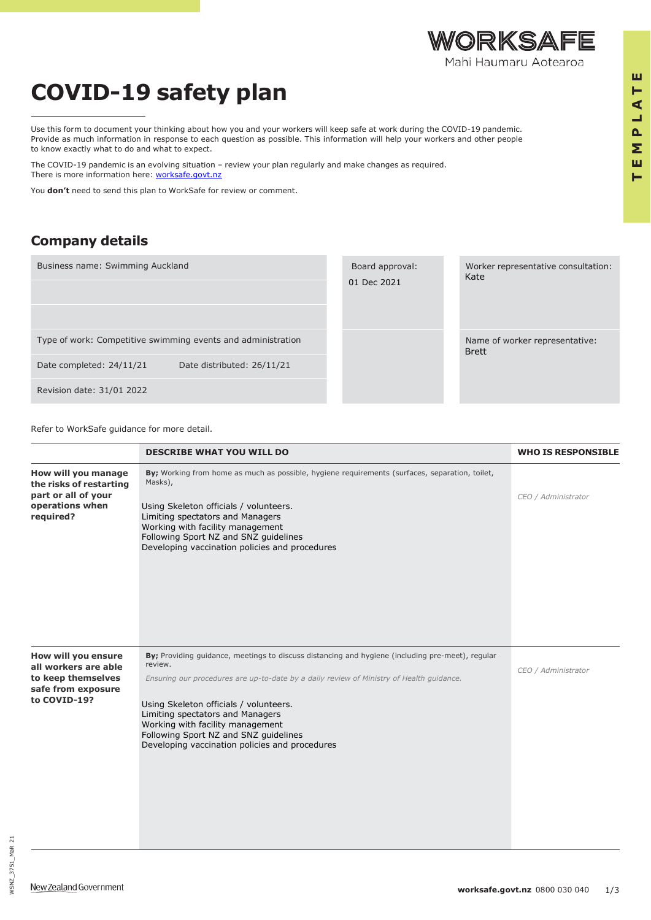## **COVID-19 safety plan**

Use this form to document your thinking about how you and your workers will keep safe at work during the COVID-19 pandemic. Provide as much information in response to each question as possible. This information will help your workers and other people to know exactly what to do and what to expect.

The COVID-19 pandemic is an evolving situation – review your plan regularly and make changes as required. There is more information here: [worksafe.govt.nz](file:///C:/Users/swimm/Swimming%20Auckland%20Dropbox/Brett%20Green%20Auckland%20Swimming%20Association/My%20PC%20(DESKTOP-J561J6N)/Downloads/worksafe.govt.nz)

You **don't** need to send this plan to WorkSafe for review or comment.

## **Company details**

Worker representative consultation: Kate Name of worker representative: Brett Board approval: 01 Dec 2021 Business name: Swimming Auckland Type of work: Competitive swimming events and administration Date completed: 24/11/21 Date distributed: 26/11/21 Revision date: 31/01 2022

Refer to WorkSafe guidance for more detail.

|                                                                                                         | <b>DESCRIBE WHAT YOU WILL DO</b>                                                                                                                                                                                                                                                                                                                                                                                     | <b>WHO IS RESPONSIBLE</b> |
|---------------------------------------------------------------------------------------------------------|----------------------------------------------------------------------------------------------------------------------------------------------------------------------------------------------------------------------------------------------------------------------------------------------------------------------------------------------------------------------------------------------------------------------|---------------------------|
| How will you manage<br>the risks of restarting<br>part or all of your<br>operations when<br>required?   | By; Working from home as much as possible, hygiene requirements (surfaces, separation, toilet,<br>Masks),<br>Using Skeleton officials / volunteers.<br>Limiting spectators and Managers<br>Working with facility management<br>Following Sport NZ and SNZ guidelines<br>Developing vaccination policies and procedures                                                                                               | CEO / Administrator       |
| How will you ensure<br>all workers are able<br>to keep themselves<br>safe from exposure<br>to COVID-19? | By; Providing guidance, meetings to discuss distancing and hygiene (including pre-meet), regular<br>review.<br>Ensuring our procedures are up-to-date by a daily review of Ministry of Health guidance.<br>Using Skeleton officials / volunteers.<br>Limiting spectators and Managers<br>Working with facility management<br>Following Sport NZ and SNZ guidelines<br>Developing vaccination policies and procedures | CEO / Administrator       |

WSNZ\_3751\_MaR

WSNZ\_3751\_MaR\_21

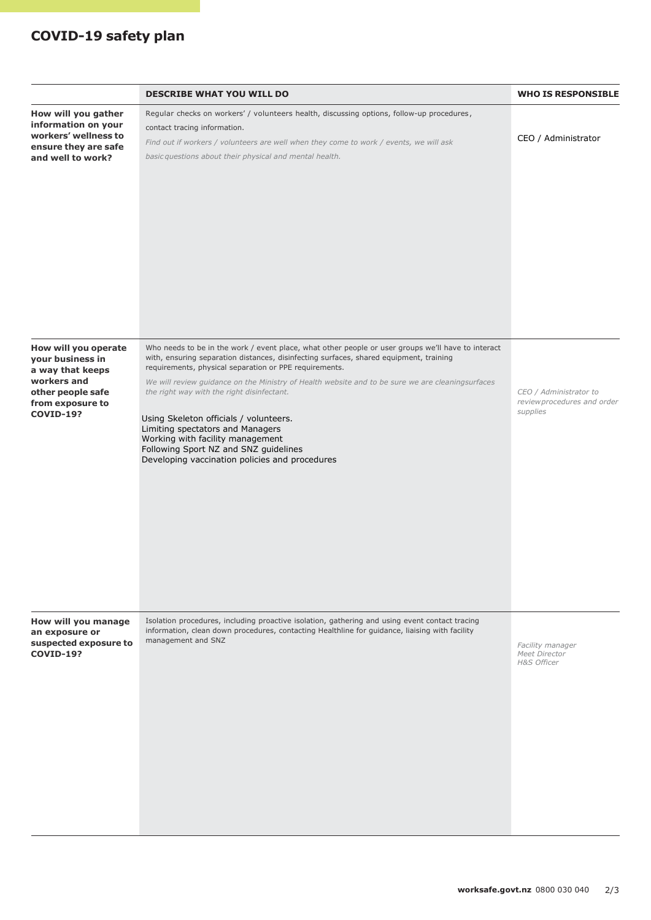## **COVID-19 safety plan**

|                                                                                                                                          | <b>DESCRIBE WHAT YOU WILL DO</b>                                                                                                                                                                                                                                                                                                                                                                                                                                                                                                                                                                                      | <b>WHO IS RESPONSIBLE</b>                                         |
|------------------------------------------------------------------------------------------------------------------------------------------|-----------------------------------------------------------------------------------------------------------------------------------------------------------------------------------------------------------------------------------------------------------------------------------------------------------------------------------------------------------------------------------------------------------------------------------------------------------------------------------------------------------------------------------------------------------------------------------------------------------------------|-------------------------------------------------------------------|
| How will you gather<br>information on your<br>workers' wellness to<br>ensure they are safe<br>and well to work?                          | Regular checks on workers' / volunteers health, discussing options, follow-up procedures,<br>contact tracing information.<br>Find out if workers / volunteers are well when they come to work / events, we will ask<br>basic questions about their physical and mental health.                                                                                                                                                                                                                                                                                                                                        | CEO / Administrator                                               |
| How will you operate<br>your business in<br>a way that keeps<br>workers and<br>other people safe<br>from exposure to<br><b>COVID-19?</b> | Who needs to be in the work / event place, what other people or user groups we'll have to interact<br>with, ensuring separation distances, disinfecting surfaces, shared equipment, training<br>requirements, physical separation or PPE requirements.<br>We will review guidance on the Ministry of Health website and to be sure we are cleaningsurfaces<br>the right way with the right disinfectant.<br>Using Skeleton officials / volunteers.<br>Limiting spectators and Managers<br>Working with facility management<br>Following Sport NZ and SNZ guidelines<br>Developing vaccination policies and procedures | CEO / Administrator to<br>review procedures and order<br>supplies |
| How will you manage<br>an exposure or<br>suspected exposure to<br><b>COVID-19?</b>                                                       | Isolation procedures, including proactive isolation, gathering and using event contact tracing<br>information, clean down procedures, contacting Healthline for guidance, liaising with facility<br>management and SNZ                                                                                                                                                                                                                                                                                                                                                                                                | Facility manager<br>Meet Director<br>H&S Officer                  |